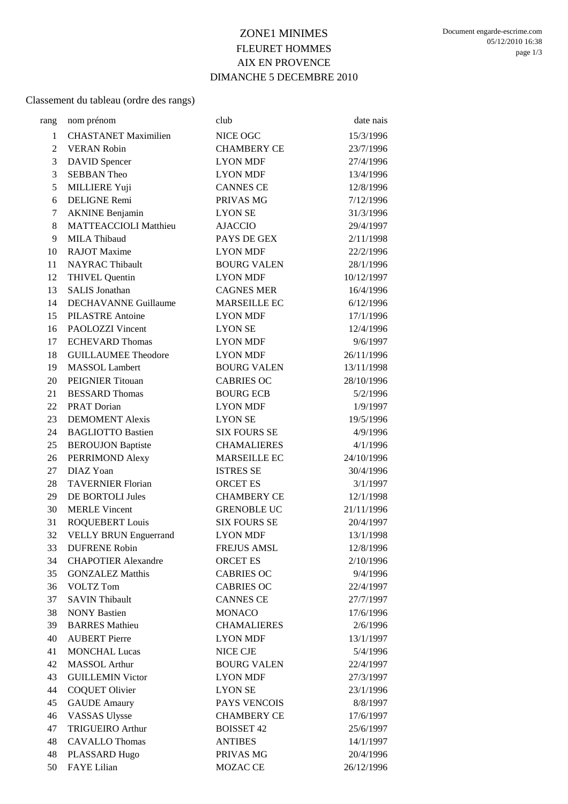# ZONE1 MINIMES FLEURET HOMMES AIX EN PROVENCE DIMANCHE 5 DECEMBRE 2010

#### Classement du tableau (ordre des rangs)

| rang           | nom prénom                   | club                | date nais  |
|----------------|------------------------------|---------------------|------------|
| $\mathbf{1}$   | <b>CHASTANET Maximilien</b>  | NICE OGC            | 15/3/1996  |
| $\overline{2}$ | <b>VERAN Robin</b>           | <b>CHAMBERY CE</b>  | 23/7/1996  |
| 3              | <b>DAVID</b> Spencer         | <b>LYON MDF</b>     | 27/4/1996  |
| 3              | <b>SEBBAN Theo</b>           | <b>LYON MDF</b>     | 13/4/1996  |
| 5              | <b>MILLIERE Yuji</b>         | <b>CANNES CE</b>    | 12/8/1996  |
| 6              | DELIGNE Remi                 | PRIVAS MG           | 7/12/1996  |
| $\tau$         | <b>AKNINE Benjamin</b>       | <b>LYON SE</b>      | 31/3/1996  |
| 8              | <b>MATTEACCIOLI Matthieu</b> | <b>AJACCIO</b>      | 29/4/1997  |
| 9              | MILA Thibaud                 | PAYS DE GEX         | 2/11/1998  |
| 10             | <b>RAJOT</b> Maxime          | <b>LYON MDF</b>     | 22/2/1996  |
| 11             | <b>NAYRAC Thibault</b>       | <b>BOURG VALEN</b>  | 28/1/1996  |
| 12             | <b>THIVEL Quentin</b>        | <b>LYON MDF</b>     | 10/12/1997 |
| 13             | <b>SALIS Jonathan</b>        | <b>CAGNES MER</b>   | 16/4/1996  |
| 14             | <b>DECHAVANNE Guillaume</b>  | <b>MARSEILLE EC</b> | 6/12/1996  |
| 15             | <b>PILASTRE Antoine</b>      | <b>LYON MDF</b>     | 17/1/1996  |
| 16             | <b>PAOLOZZI</b> Vincent      | <b>LYON SE</b>      | 12/4/1996  |
| 17             | <b>ECHEVARD Thomas</b>       | <b>LYON MDF</b>     | 9/6/1997   |
| 18             | <b>GUILLAUMEE Theodore</b>   | <b>LYON MDF</b>     | 26/11/1996 |
| 19             | <b>MASSOL</b> Lambert        | <b>BOURG VALEN</b>  | 13/11/1998 |
| 20             | PEIGNIER Titouan             | <b>CABRIES OC</b>   | 28/10/1996 |
| 21             | <b>BESSARD Thomas</b>        | <b>BOURG ECB</b>    | 5/2/1996   |
| 22             | PRAT Dorian                  | <b>LYON MDF</b>     | 1/9/1997   |
| 23             | <b>DEMOMENT Alexis</b>       | <b>LYON SE</b>      | 19/5/1996  |
| 24             | <b>BAGLIOTTO Bastien</b>     | <b>SIX FOURS SE</b> | 4/9/1996   |
| 25             | <b>BEROUJON Baptiste</b>     | <b>CHAMALIERES</b>  | 4/1/1996   |
| 26             | PERRIMOND Alexy              | MARSEILLE EC        | 24/10/1996 |
| 27             | DIAZ Yoan                    | <b>ISTRES SE</b>    | 30/4/1996  |
| 28             | <b>TAVERNIER Florian</b>     | <b>ORCET ES</b>     | 3/1/1997   |
| 29             | <b>DE BORTOLI Jules</b>      | <b>CHAMBERY CE</b>  | 12/1/1998  |
| 30             | <b>MERLE Vincent</b>         | <b>GRENOBLE UC</b>  | 21/11/1996 |
| 31             | ROQUEBERT Louis              | <b>SIX FOURS SE</b> | 20/4/1997  |
| 32             | <b>VELLY BRUN Enguerrand</b> | <b>LYON MDF</b>     | 13/1/1998  |
| 33             | <b>DUFRENE Robin</b>         | <b>FREJUS AMSL</b>  | 12/8/1996  |
| 34             | <b>CHAPOTIER Alexandre</b>   | <b>ORCET ES</b>     | 2/10/1996  |
| 35             | <b>GONZALEZ Matthis</b>      | <b>CABRIES OC</b>   | 9/4/1996   |
| 36             | <b>VOLTZ Tom</b>             | <b>CABRIES OC</b>   | 22/4/1997  |
| 37             | <b>SAVIN Thibault</b>        | <b>CANNES CE</b>    | 27/7/1997  |
| 38             | <b>NONY Bastien</b>          | <b>MONACO</b>       | 17/6/1996  |
| 39             | <b>BARRES</b> Mathieu        | <b>CHAMALIERES</b>  | 2/6/1996   |
| 40             | <b>AUBERT Pierre</b>         | <b>LYON MDF</b>     | 13/1/1997  |
| 41             | <b>MONCHAL Lucas</b>         | NICE CJE            | 5/4/1996   |
| 42             | <b>MASSOL</b> Arthur         | <b>BOURG VALEN</b>  | 22/4/1997  |
| 43             | <b>GUILLEMIN Victor</b>      | <b>LYON MDF</b>     | 27/3/1997  |
| 44             | <b>COQUET Olivier</b>        | <b>LYON SE</b>      | 23/1/1996  |
| 45             | <b>GAUDE</b> Amaury          | PAYS VENCOIS        | 8/8/1997   |
| 46             | <b>VASSAS Ulysse</b>         | <b>CHAMBERY CE</b>  | 17/6/1997  |
| 47             | <b>TRIGUEIRO Arthur</b>      | <b>BOISSET 42</b>   | 25/6/1997  |
| 48             | <b>CAVALLO Thomas</b>        | <b>ANTIBES</b>      | 14/1/1997  |
| 48             | PLASSARD Hugo                | PRIVAS MG           | 20/4/1996  |
| 50             | <b>FAYE</b> Lilian           | MOZAC CE            | 26/12/1996 |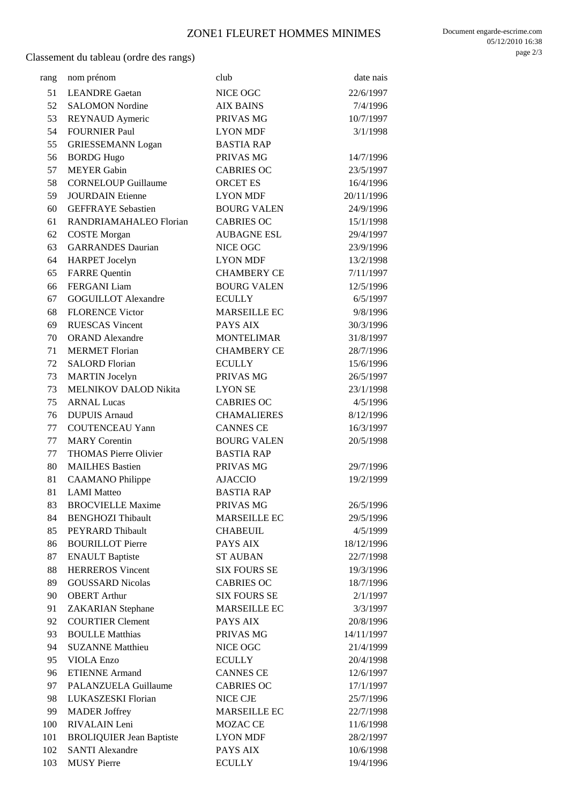## ZONE1 FLEURET HOMMES MINIMES

Classement du tableau (ordre des rangs)

| rang | nom prénom                      | club                | date nais  |
|------|---------------------------------|---------------------|------------|
| 51   | <b>LEANDRE</b> Gaetan           | NICE OGC            | 22/6/1997  |
| 52   | <b>SALOMON Nordine</b>          | <b>AIX BAINS</b>    | 7/4/1996   |
| 53   | <b>REYNAUD</b> Aymeric          | PRIVAS MG           | 10/7/1997  |
| 54   | <b>FOURNIER Paul</b>            | <b>LYON MDF</b>     | 3/1/1998   |
| 55   | <b>GRIESSEMANN Logan</b>        | <b>BASTIA RAP</b>   |            |
| 56   | <b>BORDG Hugo</b>               | PRIVAS MG           | 14/7/1996  |
| 57   | <b>MEYER Gabin</b>              | <b>CABRIES OC</b>   | 23/5/1997  |
| 58   | <b>CORNELOUP Guillaume</b>      | <b>ORCET ES</b>     | 16/4/1996  |
| 59   | <b>JOURDAIN Etienne</b>         | <b>LYON MDF</b>     | 20/11/1996 |
| 60   | <b>GEFFRAYE</b> Sebastien       | <b>BOURG VALEN</b>  | 24/9/1996  |
| 61   | RANDRIAMAHALEO Florian          | <b>CABRIES OC</b>   | 15/1/1998  |
| 62   | <b>COSTE</b> Morgan             | <b>AUBAGNE ESL</b>  | 29/4/1997  |
| 63   | <b>GARRANDES Daurian</b>        | NICE OGC            | 23/9/1996  |
| 64   | <b>HARPET</b> Jocelyn           | <b>LYON MDF</b>     | 13/2/1998  |
| 65   | <b>FARRE</b> Quentin            | <b>CHAMBERY CE</b>  | 7/11/1997  |
| 66   | <b>FERGANI</b> Liam             | <b>BOURG VALEN</b>  | 12/5/1996  |
| 67   | <b>GOGUILLOT Alexandre</b>      | <b>ECULLY</b>       | 6/5/1997   |
| 68   | <b>FLORENCE Victor</b>          | <b>MARSEILLE EC</b> | 9/8/1996   |
| 69   | <b>RUESCAS Vincent</b>          | PAYS AIX            | 30/3/1996  |
| 70   | <b>ORAND</b> Alexandre          | <b>MONTELIMAR</b>   | 31/8/1997  |
| 71   | <b>MERMET</b> Florian           | <b>CHAMBERY CE</b>  | 28/7/1996  |
| 72   | <b>SALORD Florian</b>           | <b>ECULLY</b>       | 15/6/1996  |
| 73   | <b>MARTIN</b> Jocelyn           | PRIVAS MG           | 26/5/1997  |
| 73   | MELNIKOV DALOD Nikita           | <b>LYON SE</b>      | 23/1/1998  |
| 75   | <b>ARNAL Lucas</b>              | <b>CABRIES OC</b>   | 4/5/1996   |
| 76   | <b>DUPUIS Arnaud</b>            | <b>CHAMALIERES</b>  | 8/12/1996  |
| 77   | <b>COUTENCEAU Yann</b>          | <b>CANNES CE</b>    | 16/3/1997  |
| 77   | <b>MARY</b> Corentin            | <b>BOURG VALEN</b>  | 20/5/1998  |
| 77   | <b>THOMAS Pierre Olivier</b>    | <b>BASTIA RAP</b>   |            |
| 80   | <b>MAILHES Bastien</b>          | PRIVAS MG           | 29/7/1996  |
| 81   | <b>CAAMANO</b> Philippe         | <b>AJACCIO</b>      | 19/2/1999  |
| 81   | <b>LAMI</b> Matteo              | <b>BASTIA RAP</b>   |            |
| 83   | <b>BROCVIELLE Maxime</b>        | PRIVAS MG           | 26/5/1996  |
| 84   | <b>BENGHOZI Thibault</b>        | <b>MARSEILLE EC</b> | 29/5/1996  |
| 85   | PEYRARD Thibault                | <b>CHABEUIL</b>     | 4/5/1999   |
| 86   | <b>BOURILLOT Pierre</b>         | PAYS AIX            | 18/12/1996 |
| 87   | <b>ENAULT Baptiste</b>          | <b>ST AUBAN</b>     | 22/7/1998  |
| 88   | <b>HERREROS Vincent</b>         | <b>SIX FOURS SE</b> | 19/3/1996  |
| 89   | <b>GOUSSARD Nicolas</b>         | <b>CABRIES OC</b>   | 18/7/1996  |
| 90   | <b>OBERT Arthur</b>             | <b>SIX FOURS SE</b> | 2/1/1997   |
| 91   | <b>ZAKARIAN</b> Stephane        | <b>MARSEILLE EC</b> | 3/3/1997   |
| 92   | <b>COURTIER Clement</b>         | PAYS AIX            | 20/8/1996  |
| 93   | <b>BOULLE Matthias</b>          | PRIVAS MG           | 14/11/1997 |
| 94   | <b>SUZANNE Matthieu</b>         | NICE OGC            | 21/4/1999  |
| 95   | <b>VIOLA</b> Enzo               | <b>ECULLY</b>       | 20/4/1998  |
| 96   | <b>ETIENNE Armand</b>           | <b>CANNES CE</b>    | 12/6/1997  |
| 97   | PALANZUELA Guillaume            | <b>CABRIES OC</b>   | 17/1/1997  |
| 98   | LUKASZESKI Florian              | NICE CJE            | 25/7/1996  |
| 99   | <b>MADER Joffrey</b>            | <b>MARSEILLE EC</b> | 22/7/1998  |
| 100  | RIVALAIN Leni                   | MOZAC CE            | 11/6/1998  |
| 101  | <b>BROLIQUIER Jean Baptiste</b> | <b>LYON MDF</b>     | 28/2/1997  |
| 102  | <b>SANTI Alexandre</b>          | PAYS AIX            | 10/6/1998  |
| 103  | <b>MUSY Pierre</b>              | <b>ECULLY</b>       | 19/4/1996  |